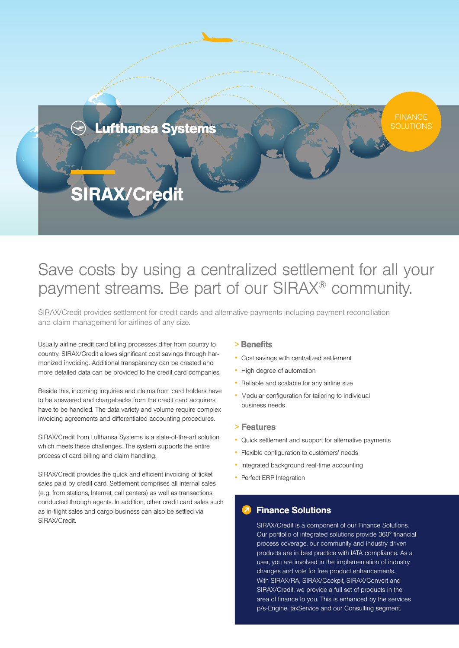

# Save costs by using a centralized settlement for all your payment streams. Be part of our SIRAX® community.

SIRAX/Credit provides settlement for credit cards and alternative payments including payment reconciliation and claim management for airlines of any size.

Usually airline credit card billing processes differ from country to country. SIRAX/Credit allows significant cost savings through harmonized invoicing. Additional transparency can be created and more detailed data can be provided to the credit card companies.

Beside this, incoming inquiries and claims from card holders have to be answered and chargebacks from the credit card acquirers have to be handled. The data variety and volume require complex invoicing agreements and differentiated accounting procedures.

SIRAX/Credit from Lufthansa Systems is a state-of-the-art solution which meets these challenges. The system supports the entire process of card billing and claim handling.

SIRAX/Credit provides the quick and efficient invoicing of ticket sales paid by credit card. Settlement comprises all internal sales (e.g. from stations, Internet, call centers) as well as transactions conducted through agents. In addition, other credit card sales such as in-flight sales and cargo business can also be settled via SIRAX/Credit.

## > Benefits

- Cost savings with centralized settlement
- High degree of automation
- Reliable and scalable for any airline size
- Modular configuration for tailoring to individual business needs

### <sup>&</sup>gt; Features

- Quick settlement and support for alternative payments
- Flexible configuration to customers' needs
- Integrated background real-time accounting
- Perfect ERP Integration

## Finance Solutions

SIRAX/Credit is a component of our Finance Solutions. Our portfolio of integrated solutions provide 360° financial process coverage, our community and industry driven products are in best practice with IATA compliance. As a user, you are involved in the implementation of industry changes and vote for free product enhancements. With SIRAX/RA, SIRAX/Cockpit, SIRAX/Convert and SIRAX/Credit, we provide a full set of products in the area of finance to you. This is enhanced by the services p/s-Engine, taxService and our Consulting segment.